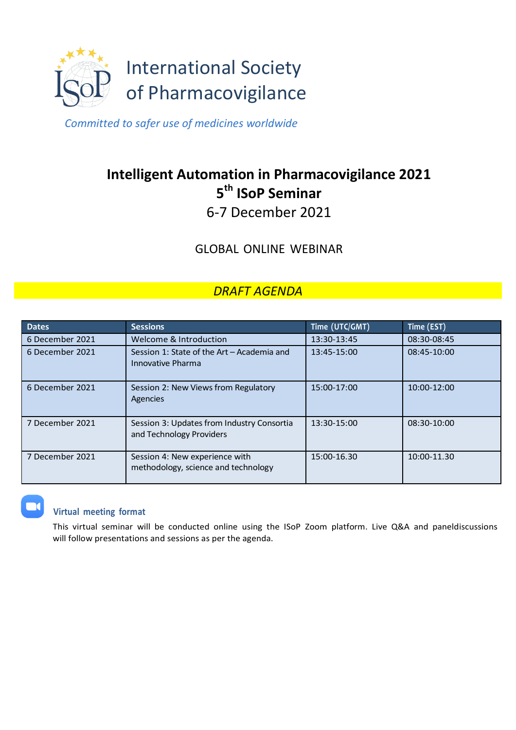

*Committed to safer use of medicines worldwide*

## **Intelligent Automation in Pharmacovigilance 2021 5 th ISoP Seminar**

6-7 December 2021

GLOBAL ONLINE WEBINAR

## *DRAFT AGENDA*

| <b>Dates</b>    | <b>Sessions</b>                                                        | Time (UTC/GMT) | Time (EST)  |
|-----------------|------------------------------------------------------------------------|----------------|-------------|
| 6 December 2021 | Welcome & Introduction                                                 | 13:30-13:45    | 08:30-08:45 |
| 6 December 2021 | Session 1: State of the Art - Academia and<br>Innovative Pharma        | 13:45-15:00    | 08:45-10:00 |
| 6 December 2021 | Session 2: New Views from Regulatory<br>Agencies                       | 15:00-17:00    | 10:00-12:00 |
| 7 December 2021 | Session 3: Updates from Industry Consortia<br>and Technology Providers | 13:30-15:00    | 08:30-10:00 |
| 7 December 2021 | Session 4: New experience with<br>methodology, science and technology  | 15:00-16.30    | 10:00-11.30 |

## **Virtual meeting format**

This virtual seminar will be conducted online using the ISoP Zoom platform. Live Q&A and paneldiscussions will follow presentations and sessions as per the agenda.